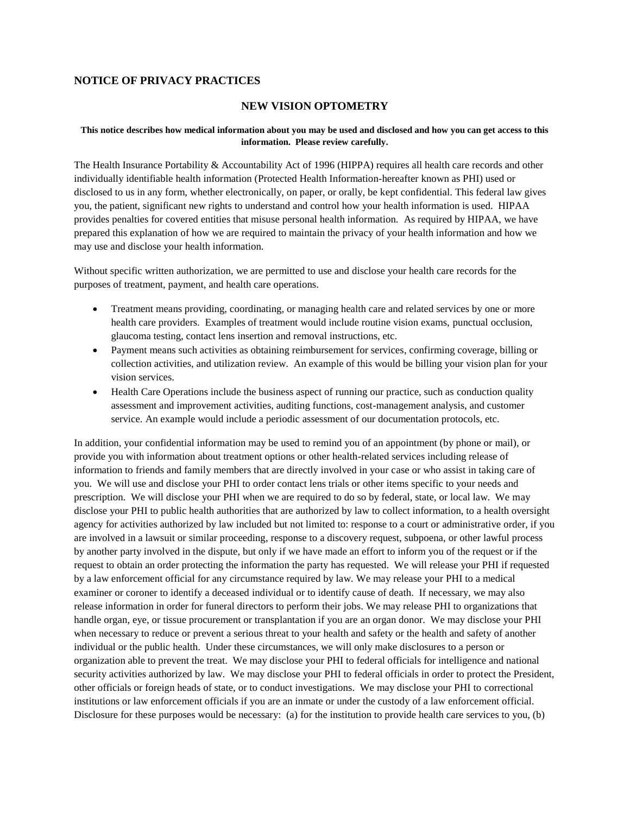## **NOTICE OF PRIVACY PRACTICES**

## **NEW VISION OPTOMETRY**

## **This notice describes how medical information about you may be used and disclosed and how you can get access to this information. Please review carefully.**

The Health Insurance Portability & Accountability Act of 1996 (HIPPA) requires all health care records and other individually identifiable health information (Protected Health Information-hereafter known as PHI) used or disclosed to us in any form, whether electronically, on paper, or orally, be kept confidential. This federal law gives you, the patient, significant new rights to understand and control how your health information is used. HIPAA provides penalties for covered entities that misuse personal health information. As required by HIPAA, we have prepared this explanation of how we are required to maintain the privacy of your health information and how we may use and disclose your health information.

Without specific written authorization, we are permitted to use and disclose your health care records for the purposes of treatment, payment, and health care operations.

- Treatment means providing, coordinating, or managing health care and related services by one or more health care providers. Examples of treatment would include routine vision exams, punctual occlusion, glaucoma testing, contact lens insertion and removal instructions, etc.
- Payment means such activities as obtaining reimbursement for services, confirming coverage, billing or collection activities, and utilization review. An example of this would be billing your vision plan for your vision services.
- Health Care Operations include the business aspect of running our practice, such as conduction quality assessment and improvement activities, auditing functions, cost-management analysis, and customer service. An example would include a periodic assessment of our documentation protocols, etc.

In addition, your confidential information may be used to remind you of an appointment (by phone or mail), or provide you with information about treatment options or other health-related services including release of information to friends and family members that are directly involved in your case or who assist in taking care of you. We will use and disclose your PHI to order contact lens trials or other items specific to your needs and prescription. We will disclose your PHI when we are required to do so by federal, state, or local law. We may disclose your PHI to public health authorities that are authorized by law to collect information, to a health oversight agency for activities authorized by law included but not limited to: response to a court or administrative order, if you are involved in a lawsuit or similar proceeding, response to a discovery request, subpoena, or other lawful process by another party involved in the dispute, but only if we have made an effort to inform you of the request or if the request to obtain an order protecting the information the party has requested. We will release your PHI if requested by a law enforcement official for any circumstance required by law. We may release your PHI to a medical examiner or coroner to identify a deceased individual or to identify cause of death. If necessary, we may also release information in order for funeral directors to perform their jobs. We may release PHI to organizations that handle organ, eye, or tissue procurement or transplantation if you are an organ donor. We may disclose your PHI when necessary to reduce or prevent a serious threat to your health and safety or the health and safety of another individual or the public health. Under these circumstances, we will only make disclosures to a person or organization able to prevent the treat. We may disclose your PHI to federal officials for intelligence and national security activities authorized by law. We may disclose your PHI to federal officials in order to protect the President, other officials or foreign heads of state, or to conduct investigations. We may disclose your PHI to correctional institutions or law enforcement officials if you are an inmate or under the custody of a law enforcement official. Disclosure for these purposes would be necessary: (a) for the institution to provide health care services to you, (b)